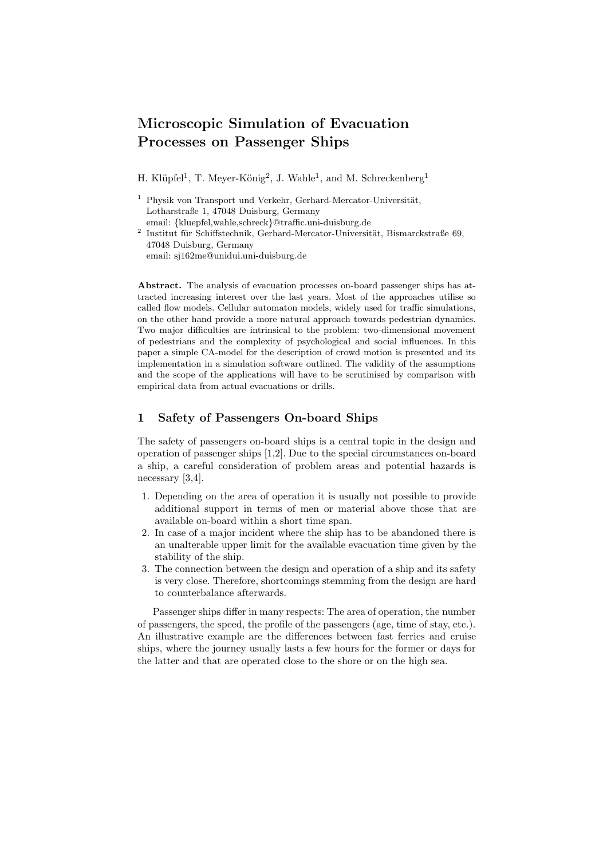# **Microscopic Simulation of Evacuation Processes on Passenger Ships**

H. Klüpfel<sup>1</sup>, T. Meyer-König<sup>2</sup>, J. Wahle<sup>1</sup>, and M. Schreckenberg<sup>1</sup>

- $1$  Physik von Transport und Verkehr, Gerhard-Mercator-Universität, Lotharstraße 1, 47048 Duisburg, Germany
- email: {kluepfel,wahle,schreck}@traffic.uni-duisburg.de  $^2$ Institut für Schiffstechnik, Gerhard-Mercator-Universität, Bismarckstraße 69, 47048 Duisburg, Germany email: sj162me@unidui.uni-duisburg.de

**Abstract.** The analysis of evacuation processes on-board passenger ships has attracted increasing interest over the last years. Most of the approaches utilise so called flow models. Cellular automaton models, widely used for traffic simulations, on the other hand provide a more natural approach towards pedestrian dynamics. Two major difficulties are intrinsical to the problem: two-dimensional movement of pedestrians and the complexity of psychological and social influences. In this paper a simple CA-model for the description of crowd motion is presented and its implementation in a simulation software outlined. The validity of the assumptions and the scope of the applications will have to be scrutinised by comparison with empirical data from actual evacuations or drills.

# **1 Safety of Passengers On-board Ships**

The safety of passengers on-board ships is a central topic in the design and operation of passenger ships [1,2]. Due to the special circumstances on-board a ship, a careful consideration of problem areas and potential hazards is necessary [3,4].

- 1. Depending on the area of operation it is usually not possible to provide additional support in terms of men or material above those that are available on-board within a short time span.
- 2. In case of a major incident where the ship has to be abandoned there is an unalterable upper limit for the available evacuation time given by the stability of the ship.
- 3. The connection between the design and operation of a ship and its safety is very close. Therefore, shortcomings stemming from the design are hard to counterbalance afterwards.

Passenger ships differ in many respects: The area of operation, the number of passengers, the speed, the profile of the passengers (age, time of stay, etc.). An illustrative example are the differences between fast ferries and cruise ships, where the journey usually lasts a few hours for the former or days for the latter and that are operated close to the shore or on the high sea.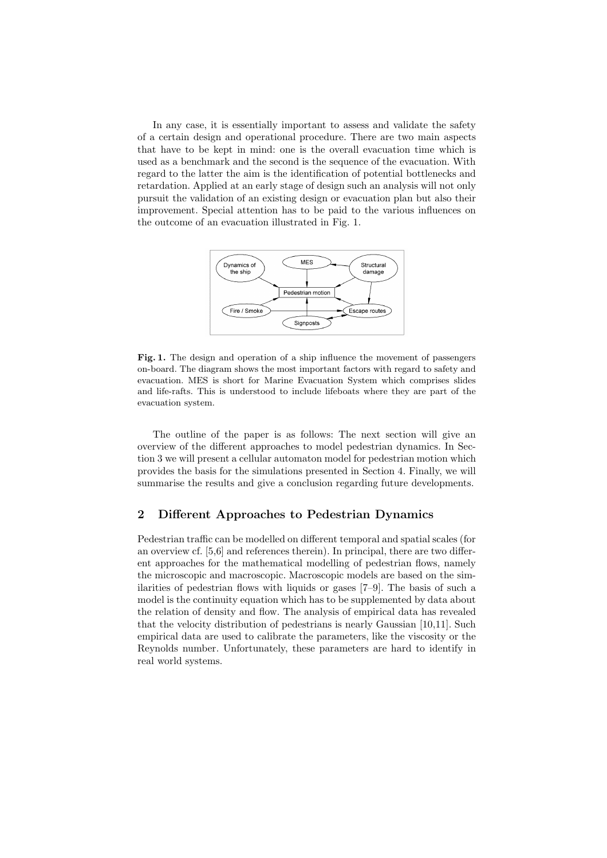In any case, it is essentially important to assess and validate the safety of a certain design and operational procedure. There are two main aspects that have to be kept in mind: one is the overall evacuation time which is used as a benchmark and the second is the sequence of the evacuation. With regard to the latter the aim is the identification of potential bottlenecks and retardation. Applied at an early stage of design such an analysis will not only pursuit the validation of an existing design or evacuation plan but also their improvement. Special attention has to be paid to the various influences on the outcome of an evacuation illustrated in Fig. 1.



Fig. 1. The design and operation of a ship influence the movement of passengers on-board. The diagram shows the most important factors with regard to safety and evacuation. MES is short for Marine Evacuation System which comprises slides and life-rafts. This is understood to include lifeboats where they are part of the evacuation system.

The outline of the paper is as follows: The next section will give an overview of the different approaches to model pedestrian dynamics. In Section 3 we will present a cellular automaton model for pedestrian motion which provides the basis for the simulations presented in Section 4. Finally, we will summarise the results and give a conclusion regarding future developments.

#### **2 Different Approaches to Pedestrian Dynamics**

Pedestrian traffic can be modelled on different temporal and spatial scales (for an overview cf. [5,6] and references therein). In principal, there are two different approaches for the mathematical modelling of pedestrian flows, namely the microscopic and macroscopic. Macroscopic models are based on the similarities of pedestrian flows with liquids or gases [7–9]. The basis of such a model is the continuity equation which has to be supplemented by data about the relation of density and flow. The analysis of empirical data has revealed that the velocity distribution of pedestrians is nearly Gaussian [10,11]. Such empirical data are used to calibrate the parameters, like the viscosity or the Reynolds number. Unfortunately, these parameters are hard to identify in real world systems.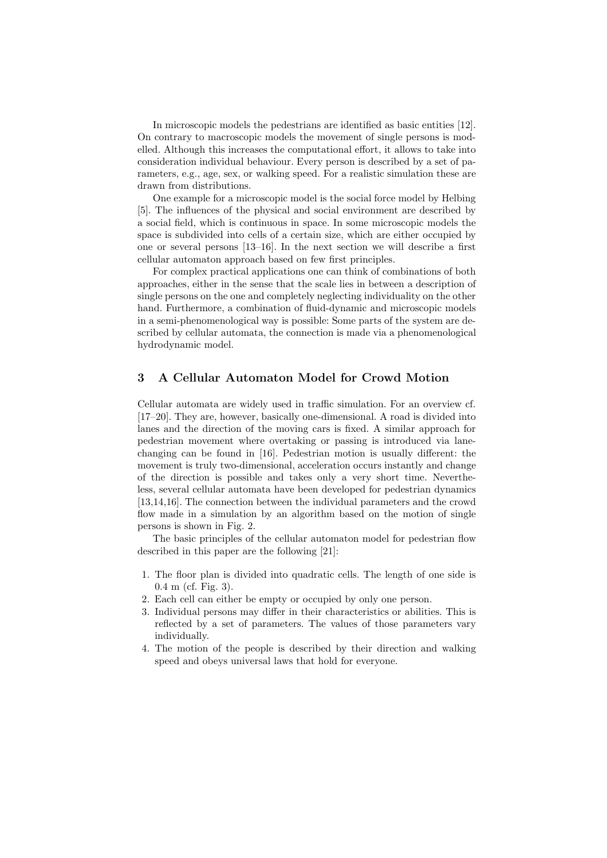In microscopic models the pedestrians are identified as basic entities [12]. On contrary to macroscopic models the movement of single persons is modelled. Although this increases the computational effort, it allows to take into consideration individual behaviour. Every person is described by a set of parameters, e.g., age, sex, or walking speed. For a realistic simulation these are drawn from distributions.

One example for a microscopic model is the social force model by Helbing [5]. The influences of the physical and social environment are described by a social field, which is continuous in space. In some microscopic models the space is subdivided into cells of a certain size, which are either occupied by one or several persons [13–16]. In the next section we will describe a first cellular automaton approach based on few first principles.

For complex practical applications one can think of combinations of both approaches, either in the sense that the scale lies in between a description of single persons on the one and completely neglecting individuality on the other hand. Furthermore, a combination of fluid-dynamic and microscopic models in a semi-phenomenological way is possible: Some parts of the system are described by cellular automata, the connection is made via a phenomenological hydrodynamic model.

# **3 A Cellular Automaton Model for Crowd Motion**

Cellular automata are widely used in traffic simulation. For an overview cf. [17–20]. They are, however, basically one-dimensional. A road is divided into lanes and the direction of the moving cars is fixed. A similar approach for pedestrian movement where overtaking or passing is introduced via lanechanging can be found in [16]. Pedestrian motion is usually different: the movement is truly two-dimensional, acceleration occurs instantly and change of the direction is possible and takes only a very short time. Nevertheless, several cellular automata have been developed for pedestrian dynamics [13,14,16]. The connection between the individual parameters and the crowd flow made in a simulation by an algorithm based on the motion of single persons is shown in Fig. 2.

The basic principles of the cellular automaton model for pedestrian flow described in this paper are the following [21]:

- 1. The floor plan is divided into quadratic cells. The length of one side is 0.4 m (cf. Fig. 3).
- 2. Each cell can either be empty or occupied by only one person.
- 3. Individual persons may differ in their characteristics or abilities. This is reflected by a set of parameters. The values of those parameters vary individually.
- 4. The motion of the people is described by their direction and walking speed and obeys universal laws that hold for everyone.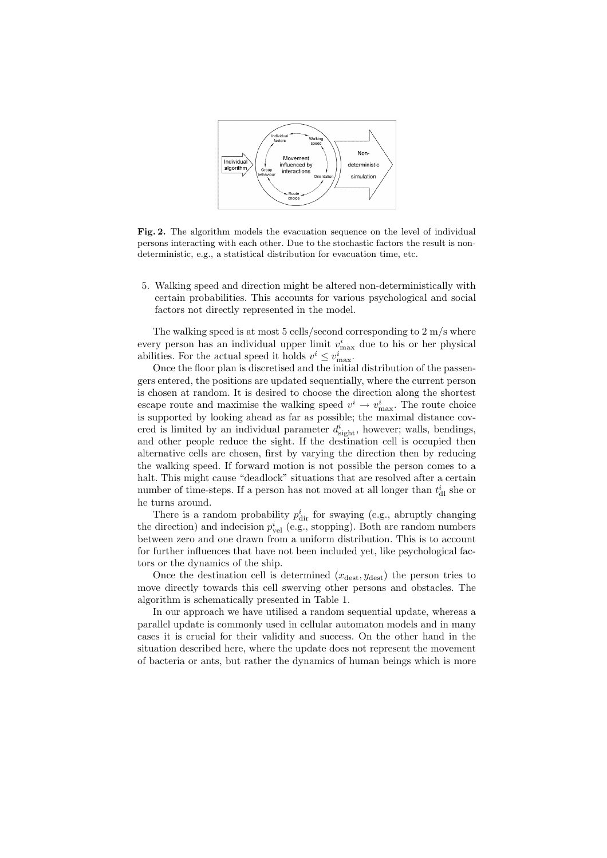

**Fig. 2.** The algorithm models the evacuation sequence on the level of individual persons interacting with each other. Due to the stochastic factors the result is nondeterministic, e.g., a statistical distribution for evacuation time, etc.

5. Walking speed and direction might be altered non-deterministically with certain probabilities. This accounts for various psychological and social factors not directly represented in the model.

The walking speed is at most 5 cells/second corresponding to 2 m/s where every person has an individual upper limit  $v_{\text{max}}^i$  due to his or her physical abilities. For the actual speed it holds  $v^i \leq v_{\text{max}}^i$ .

Once the floor plan is discretised and the initial distribution of the passengers entered, the positions are updated sequentially, where the current person is chosen at random. It is desired to choose the direction along the shortest escape route and maximise the walking speed  $v^i \rightarrow v_{\text{max}}^i$ . The route choice is supported by looking ahead as far as possible; the maximal distance covered is limited by an individual parameter  $d_{\text{sight}}^i$ , however; walls, bendings, and other people reduce the sight. If the destination cell is occupied then alternative cells are chosen, first by varying the direction then by reducing the walking speed. If forward motion is not possible the person comes to a halt. This might cause "deadlock" situations that are resolved after a certain number of time-steps. If a person has not moved at all longer than  $t_{\rm dl}^i$  she or he turns around.

There is a random probability  $p_{\text{dir}}^i$  for swaying (e.g., abruptly changing the direction) and indecision  $p_{vel}^i$  (e.g., stopping). Both are random numbers between zero and one drawn from a uniform distribution. This is to account for further influences that have not been included yet, like psychological factors or the dynamics of the ship.

Once the destination cell is determined  $(x_{\text{dest}}, y_{\text{dest}})$  the person tries to move directly towards this cell swerving other persons and obstacles. The algorithm is schematically presented in Table 1.

In our approach we have utilised a random sequential update, whereas a parallel update is commonly used in cellular automaton models and in many cases it is crucial for their validity and success. On the other hand in the situation described here, where the update does not represent the movement of bacteria or ants, but rather the dynamics of human beings which is more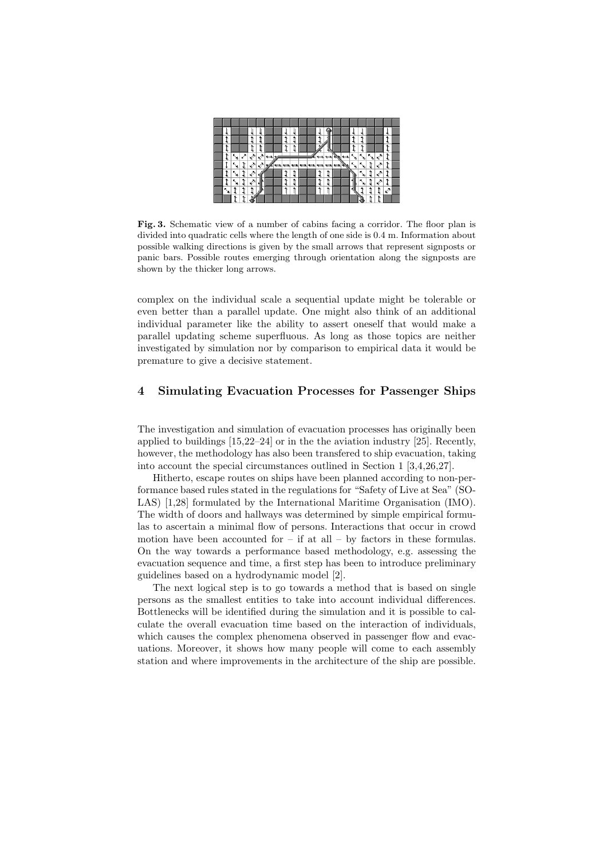|   |    |         |                             | $\blacktriangleright$ |  |  |  |  |  |    |    |    |     |   |  |
|---|----|---------|-----------------------------|-----------------------|--|--|--|--|--|----|----|----|-----|---|--|
|   | N  | العتماء | $\mathbb{R}^{\mathbb{Z}^d}$ | ı Ø                   |  |  |  |  |  | ĸ. | к. | к. | -29 |   |  |
|   | ٨, |         | Ì                           | ∛                     |  |  |  |  |  |    |    |    |     | t |  |
|   | к. |         |                             |                       |  |  |  |  |  |    | к. |    |     |   |  |
|   |    |         |                             |                       |  |  |  |  |  |    |    |    |     |   |  |
| ¥ |    |         |                             |                       |  |  |  |  |  |    |    |    |     |   |  |
|   |    |         |                             |                       |  |  |  |  |  |    |    |    |     |   |  |

**Fig. 3.** Schematic view of a number of cabins facing a corridor. The floor plan is divided into quadratic cells where the length of one side is 0.4 m. Information about possible walking directions is given by the small arrows that represent signposts or panic bars. Possible routes emerging through orientation along the signposts are shown by the thicker long arrows.

complex on the individual scale a sequential update might be tolerable or even better than a parallel update. One might also think of an additional individual parameter like the ability to assert oneself that would make a parallel updating scheme superfluous. As long as those topics are neither investigated by simulation nor by comparison to empirical data it would be premature to give a decisive statement.

## **4 Simulating Evacuation Processes for Passenger Ships**

The investigation and simulation of evacuation processes has originally been applied to buildings [15,22–24] or in the the aviation industry [25]. Recently, however, the methodology has also been transfered to ship evacuation, taking into account the special circumstances outlined in Section 1 [3,4,26,27].

Hitherto, escape routes on ships have been planned according to non-performance based rules stated in the regulations for "Safety of Live at Sea" (SO-LAS) [1,28] formulated by the International Maritime Organisation (IMO). The width of doors and hallways was determined by simple empirical formulas to ascertain a minimal flow of persons. Interactions that occur in crowd motion have been accounted for  $-$  if at all  $-$  by factors in these formulas. On the way towards a performance based methodology, e.g. assessing the evacuation sequence and time, a first step has been to introduce preliminary guidelines based on a hydrodynamic model [2].

The next logical step is to go towards a method that is based on single persons as the smallest entities to take into account individual differences. Bottlenecks will be identified during the simulation and it is possible to calculate the overall evacuation time based on the interaction of individuals, which causes the complex phenomena observed in passenger flow and evacuations. Moreover, it shows how many people will come to each assembly station and where improvements in the architecture of the ship are possible.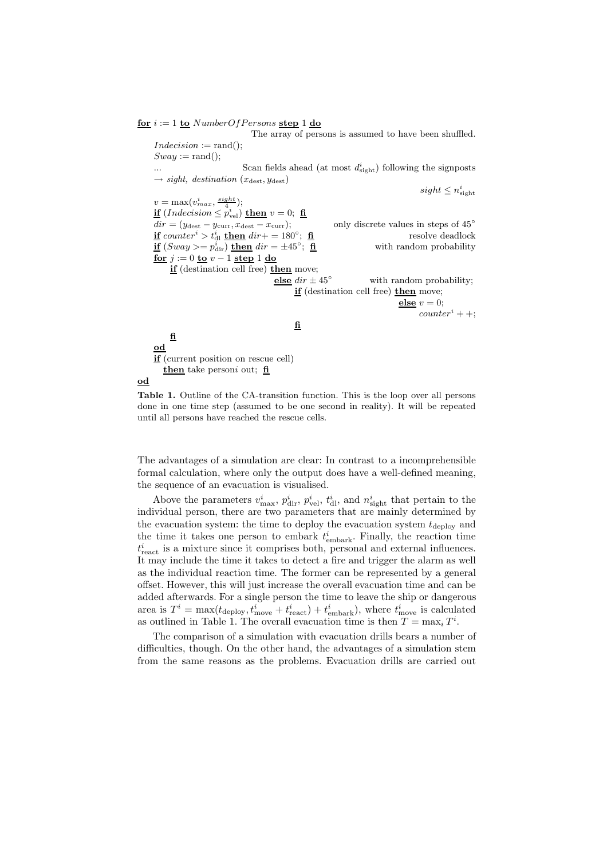$f{or}$   $i := 1$   $f{or}$   $NumberOfPersons$   $f{or}$   $1$   $f{do}$ 

The array of persons is assumed to have been shuffled.  $Indexision := rand()$ ;  $Sway := \text{rand}($ ; ... Scan fields ahead (at most  $d_{\text{sight}}^i$ ) following the signposts  $\rightarrow$  *sight, destination* ( $x_{\text{dest}}, y_{\text{dest}}$ )  $sight \leq n_{\text{sight}}^i$  $v = \max(v_{max}^i, \frac{sight}{4});$  $\mathbf{if}$  (*Indecision*  $\leq p_{\text{vel}}^i$ )  $\mathbf{then}$   $v = 0$ ;  $\mathbf{fi}$  $dir = (y_{\text{dest}} - y_{\text{curr}}, x_{\text{dest}} - x_{\text{curr}});$  only discrete values in steps of  $45°$  $\frac{\textbf{if}}{\textbf{if}} \text{ counter}^i > t^i_{\text{dl}} \text{ then } \text{dir} + 180^\circ; \text{ } \frac{\textbf{fi}}{\textbf{if}}$  resolve deadlock  $\frac{\textbf{if}}{\textbf{f}} \left( \text{Sway} \right) = p_{\text{dir}}^i \right) \frac{\textbf{then}}{\textbf{f}} \text{dir} = \pm 45^\circ; \quad \frac{\textbf{fi}}{\textbf{f}}$  with random probability **for** *j* := 0 **to** *v* − 1 **step** 1 **do if** (destination cell free) **then** move; **else**  $dir \pm 45°$  with random probability; **if** (destination cell free) **then** move; **else**  $v = 0$ ;  $counter<sup>i</sup> + +$ ; **fi fi od if** (current position on rescue cell) **then** take person*i* out; **fi od**

**Table 1.** Outline of the CA-transition function. This is the loop over all persons done in one time step (assumed to be one second in reality). It will be repeated until all persons have reached the rescue cells.

The advantages of a simulation are clear: In contrast to a incomprehensible formal calculation, where only the output does have a well-defined meaning, the sequence of an evacuation is visualised.

Above the parameters  $v_{\text{max}}^i$ ,  $p_{\text{dir}}^i$ ,  $p_{\text{vel}}^i$ ,  $t_{\text{dl}}^i$ , and  $n_{\text{tight}}^i$  that pertain to the individual person, there are two parameters that are mainly determined by the evacuation system: the time to deploy the evacuation system  $t_{\text{deplov}}$  and the time it takes one person to embark  $t_{\text{embark}}^i$ . Finally, the reaction time  $t_{\text{react}}^i$  is a mixture since it comprises both, personal and external influences. It may include the time it takes to detect a fire and trigger the alarm as well as the individual reaction time. The former can be represented by a general offset. However, this will just increase the overall evacuation time and can be added afterwards. For a single person the time to leave the ship or dangerous area is  $T^i = \max(t_{\text{deploy}}, t^i_{\text{move}} + t^i_{\text{react}}) + t^i_{\text{embark}})$ , where  $t^i_{\text{move}}$  is calculated as outlined in Table 1. The overall evacuation time is then  $T = \max_i T^i$ .

The comparison of a simulation with evacuation drills bears a number of difficulties, though. On the other hand, the advantages of a simulation stem from the same reasons as the problems. Evacuation drills are carried out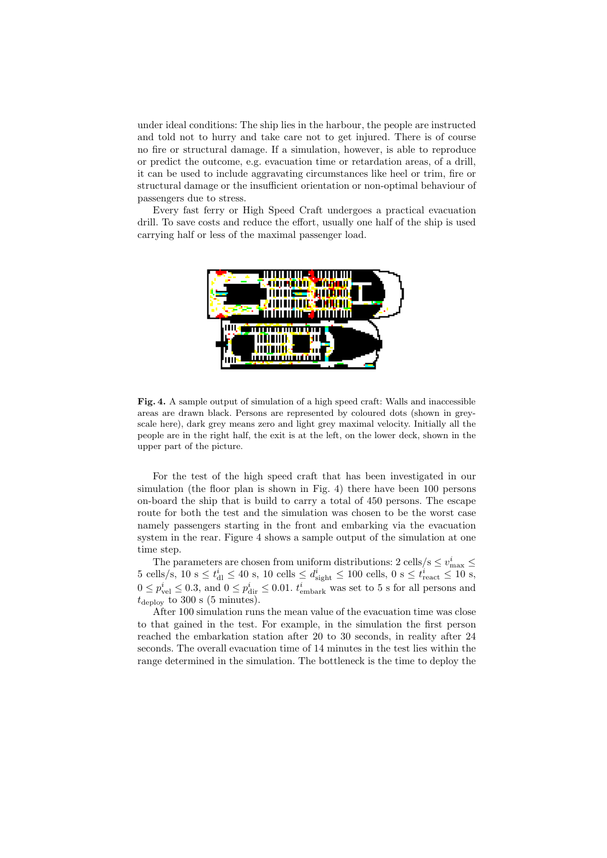under ideal conditions: The ship lies in the harbour, the people are instructed and told not to hurry and take care not to get injured. There is of course no fire or structural damage. If a simulation, however, is able to reproduce or predict the outcome, e.g. evacuation time or retardation areas, of a drill, it can be used to include aggravating circumstances like heel or trim, fire or structural damage or the insufficient orientation or non-optimal behaviour of passengers due to stress.

Every fast ferry or High Speed Craft undergoes a practical evacuation drill. To save costs and reduce the effort, usually one half of the ship is used carrying half or less of the maximal passenger load.



**Fig. 4.** A sample output of simulation of a high speed craft: Walls and inaccessible areas are drawn black. Persons are represented by coloured dots (shown in greyscale here), dark grey means zero and light grey maximal velocity. Initially all the people are in the right half, the exit is at the left, on the lower deck, shown in the upper part of the picture.

For the test of the high speed craft that has been investigated in our simulation (the floor plan is shown in Fig. 4) there have been 100 persons on-board the ship that is build to carry a total of 450 persons. The escape route for both the test and the simulation was chosen to be the worst case namely passengers starting in the front and embarking via the evacuation system in the rear. Figure 4 shows a sample output of the simulation at one time step.

The parameters are chosen from uniform distributions: 2 cells/s  $\leq v_{\rm max}^i \leq$  $5 \text{ cells/s}, 10 \text{ s} \leq t_{\text{d}1}^i \leq 40 \text{ s}, 10 \text{ cells} \leq d_{\text{sight}}^i \leq 100 \text{ cells}, 0 \text{ s} \leq t_{\text{react}}^i \leq 10 \text{ s},$  $0 \le p_{\text{vel}}^i \le 0.3$ , and  $0 \le p_{\text{dir}}^i \le 0.01$ .  $t_{\text{embark}}^i$  was set to 5 s for all persons and  $t_{\rm deplov}$  to 300 s (5 minutes).

After 100 simulation runs the mean value of the evacuation time was close to that gained in the test. For example, in the simulation the first person reached the embarkation station after 20 to 30 seconds, in reality after 24 seconds. The overall evacuation time of 14 minutes in the test lies within the range determined in the simulation. The bottleneck is the time to deploy the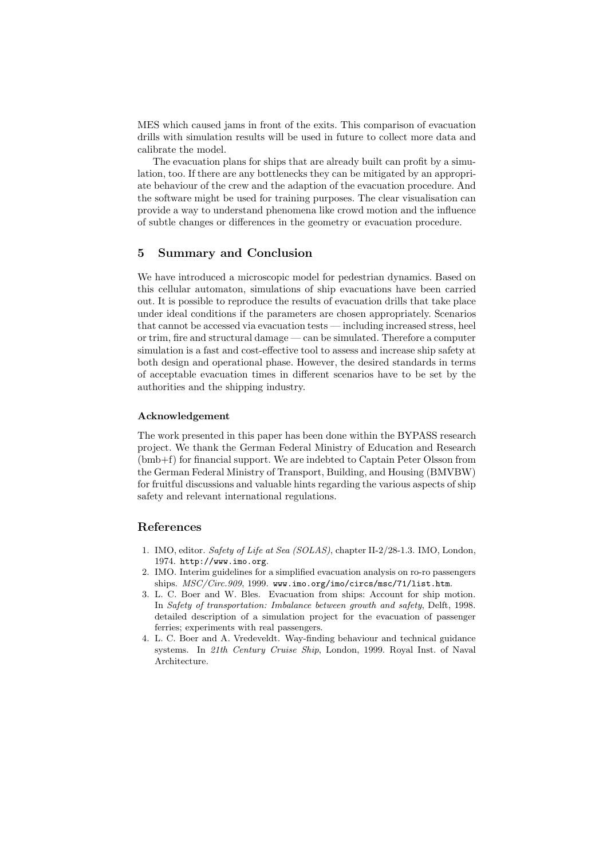MES which caused jams in front of the exits. This comparison of evacuation drills with simulation results will be used in future to collect more data and calibrate the model.

The evacuation plans for ships that are already built can profit by a simulation, too. If there are any bottlenecks they can be mitigated by an appropriate behaviour of the crew and the adaption of the evacuation procedure. And the software might be used for training purposes. The clear visualisation can provide a way to understand phenomena like crowd motion and the influence of subtle changes or differences in the geometry or evacuation procedure.

### **5 Summary and Conclusion**

We have introduced a microscopic model for pedestrian dynamics. Based on this cellular automaton, simulations of ship evacuations have been carried out. It is possible to reproduce the results of evacuation drills that take place under ideal conditions if the parameters are chosen appropriately. Scenarios that cannot be accessed via evacuation tests — including increased stress, heel or trim, fire and structural damage — can be simulated. Therefore a computer simulation is a fast and cost-effective tool to assess and increase ship safety at both design and operational phase. However, the desired standards in terms of acceptable evacuation times in different scenarios have to be set by the authorities and the shipping industry.

#### **Acknowledgement**

The work presented in this paper has been done within the BYPASS research project. We thank the German Federal Ministry of Education and Research (bmb+f) for financial support. We are indebted to Captain Peter Olsson from the German Federal Ministry of Transport, Building, and Housing (BMVBW) for fruitful discussions and valuable hints regarding the various aspects of ship safety and relevant international regulations.

#### **References**

- 1. IMO, editor. Safety of Life at Sea (SOLAS), chapter II-2/28-1.3. IMO, London, 1974. http://www.imo.org.
- 2. IMO. Interim guidelines for a simplified evacuation analysis on ro-ro passengers ships.  $MSC/Circ.909$ , 1999. www.imo.org/imo/circs/msc/71/list.htm.
- 3. L. C. Boer and W. Bles. Evacuation from ships: Account for ship motion. In Safety of transportation: Imbalance between growth and safety, Delft, 1998. detailed description of a simulation project for the evacuation of passenger ferries; experiments with real passengers.
- 4. L. C. Boer and A. Vredeveldt. Way-finding behaviour and technical guidance systems. In 21th Century Cruise Ship, London, 1999. Royal Inst. of Naval Architecture.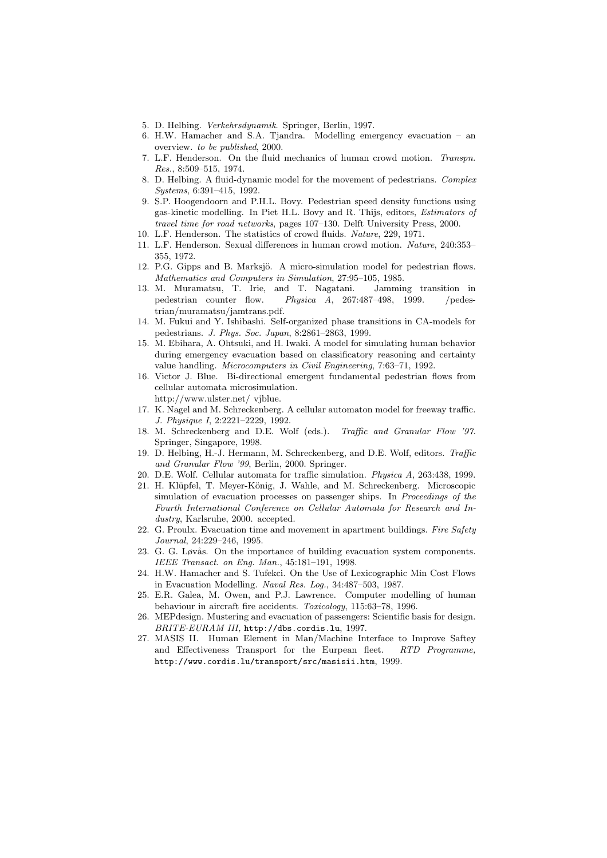- 5. D. Helbing. Verkehrsdynamik. Springer, Berlin, 1997.
- 6. H.W. Hamacher and S.A. Tjandra. Modelling emergency evacuation an overview. to be published, 2000.
- 7. L.F. Henderson. On the fluid mechanics of human crowd motion. Transpn. Res., 8:509–515, 1974.
- 8. D. Helbing. A fluid-dynamic model for the movement of pedestrians. Complex Systems, 6:391–415, 1992.
- 9. S.P. Hoogendoorn and P.H.L. Bovy. Pedestrian speed density functions using gas-kinetic modelling. In Piet H.L. Bovy and R. Thijs, editors, Estimators of travel time for road networks, pages 107–130. Delft University Press, 2000.
- 10. L.F. Henderson. The statistics of crowd fluids. Nature, 229, 1971.
- 11. L.F. Henderson. Sexual differences in human crowd motion. Nature, 240:353– 355, 1972.
- 12. P.G. Gipps and B. Marksjö. A micro-simulation model for pedestrian flows. Mathematics and Computers in Simulation, 27:95–105, 1985.
- 13. M. Muramatsu, T. Irie, and T. Nagatani. Jamming transition in pedestrian counter flow. Physica A, 267:487–498, 1999. /pedestrian/muramatsu/jamtrans.pdf.
- 14. M. Fukui and Y. Ishibashi. Self-organized phase transitions in CA-models for pedestrians. J. Phys. Soc. Japan, 8:2861–2863, 1999.
- 15. M. Ebihara, A. Ohtsuki, and H. Iwaki. A model for simulating human behavior during emergency evacuation based on classificatory reasoning and certainty value handling. Microcomputers in Civil Engineering, 7:63–71, 1992.
- 16. Victor J. Blue. Bi-directional emergent fundamental pedestrian flows from cellular automata microsimulation.
- http://www.ulster.net/ vjblue.
- 17. K. Nagel and M. Schreckenberg. A cellular automaton model for freeway traffic. J. Physique I, 2:2221–2229, 1992.
- 18. M. Schreckenberg and D.E. Wolf (eds.). Traffic and Granular Flow '97. Springer, Singapore, 1998.
- 19. D. Helbing, H.-J. Hermann, M. Schreckenberg, and D.E. Wolf, editors. Traffic and Granular Flow '99, Berlin, 2000. Springer.
- 20. D.E. Wolf. Cellular automata for traffic simulation. Physica A, 263:438, 1999.
- 21. H. Klüpfel, T. Meyer-König, J. Wahle, and M. Schreckenberg. Microscopic simulation of evacuation processes on passenger ships. In Proceedings of the Fourth International Conference on Cellular Automata for Research and Industry, Karlsruhe, 2000. accepted.
- 22. G. Proulx. Evacuation time and movement in apartment buildings. Fire Safety Journal, 24:229–246, 1995.
- 23. G. G. Løvås. On the importance of building evacuation system components. IEEE Transact. on Eng. Man., 45:181–191, 1998.
- 24. H.W. Hamacher and S. Tufekci. On the Use of Lexicographic Min Cost Flows in Evacuation Modelling. Naval Res. Log., 34:487–503, 1987.
- 25. E.R. Galea, M. Owen, and P.J. Lawrence. Computer modelling of human behaviour in aircraft fire accidents. Toxicology, 115:63–78, 1996.
- 26. MEPdesign. Mustering and evacuation of passengers: Scientific basis for design. BRITE-EURAM III, http://dbs.cordis.lu, 1997.
- 27. MASIS II. Human Element in Man/Machine Interface to Improve Saftey and Effectiveness Transport for the Eurpean fleet. RTD Programme, http://www.cordis.lu/transport/src/masisii.htm, 1999.